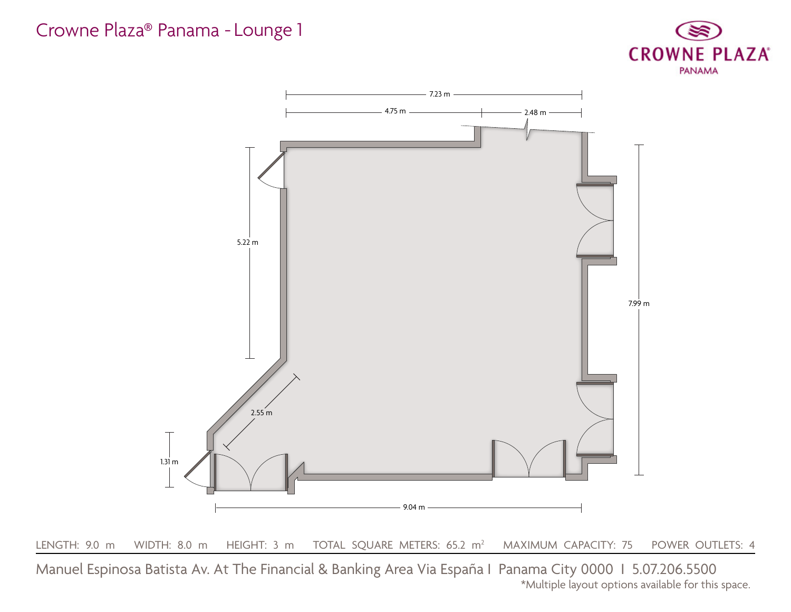#### Crowne Plaza® Panama - Lounge 1

Manuel Espinosa Batista Av. At The Financial & Banking Area Via España I Panama City 0000 I 5.07.206.5500 \*Multiple layout options available for this space.



MAXIMUM CAPACITY: 75 POWER OUTLETS: 4



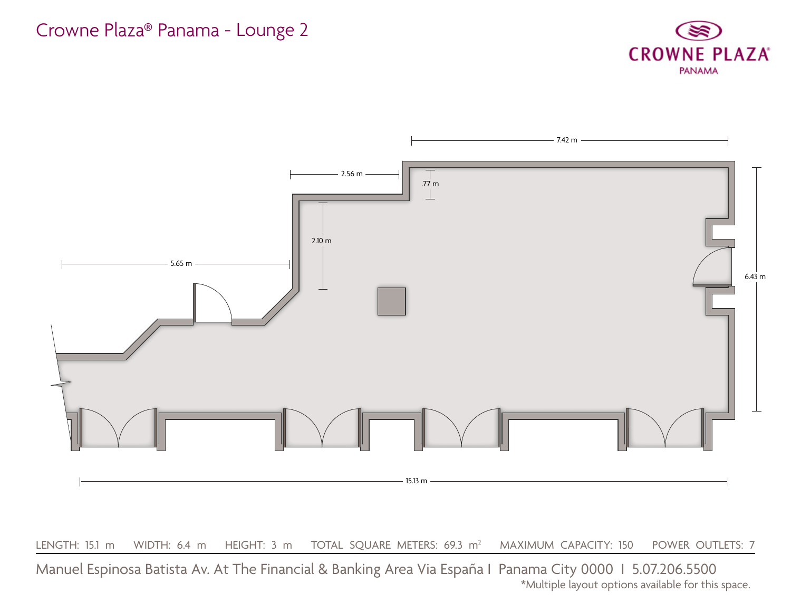#### Crowne Plaza® Panama - Lounge 2





\*Multiple layout options available for this space.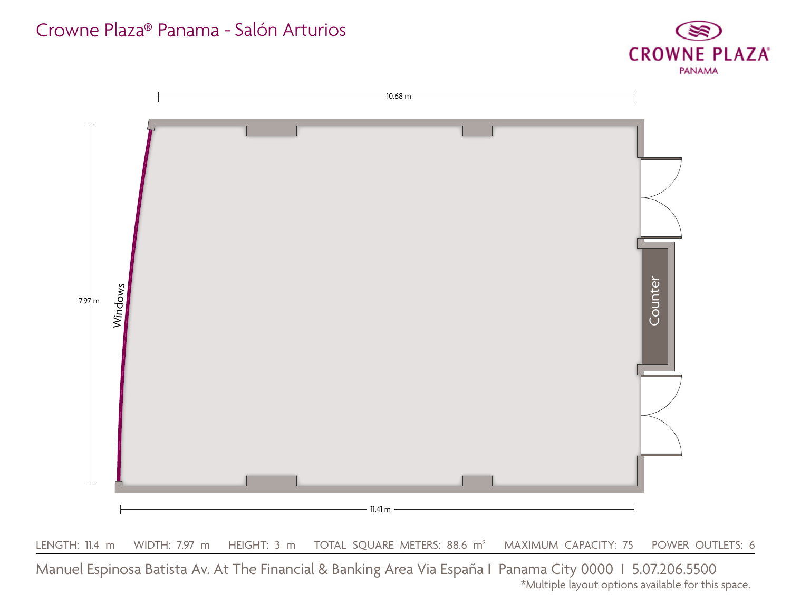# Crowne Plaza® Panama - Salón Arturios

Manuel Espinosa Batista Av. At The Financial & Banking Area Via España I Panama City 0000 I 5.07.206.5500 \*Multiple layout options available for this space.



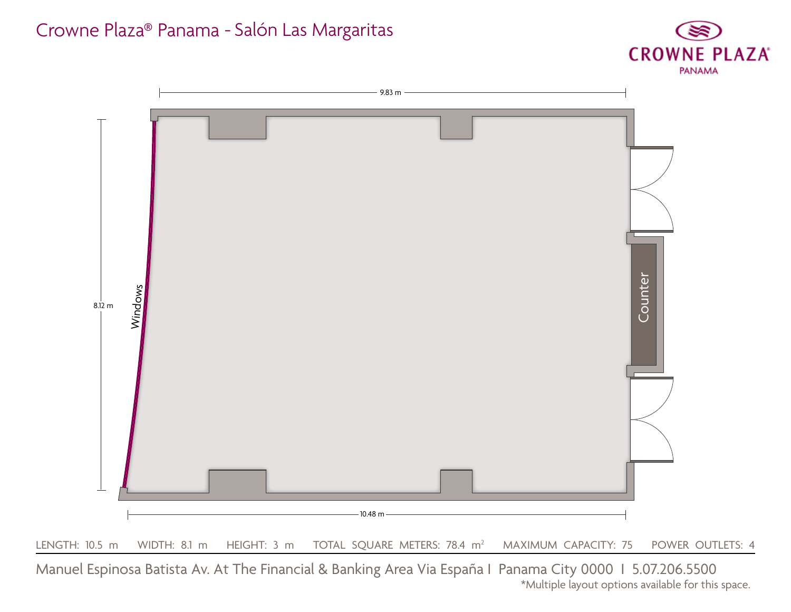# Crowne Plaza® Panama - Salón Las Margaritas



\*Multiple layout options available for this space.

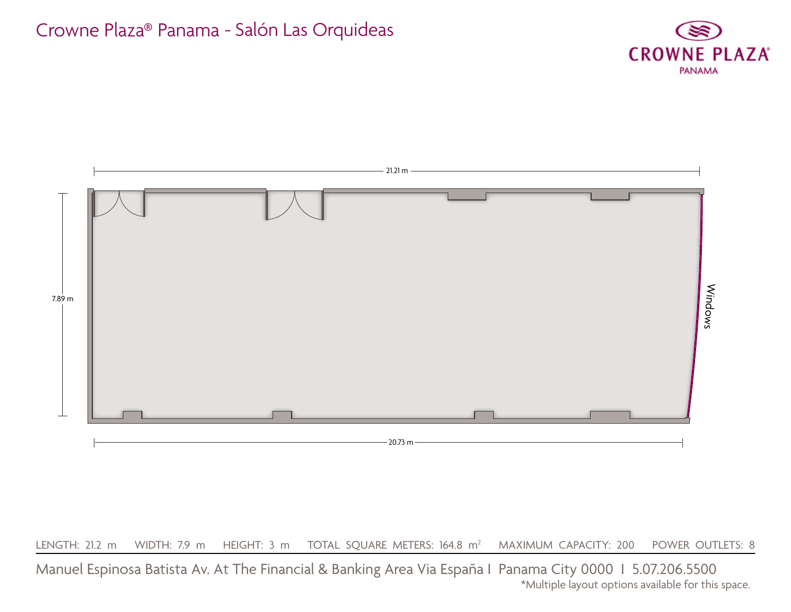LENGTH: 21.2 m WIDTH: 7.9 m HEIGHT: 3 m TOTAL SQUARE METERS: 164.8 m<sup>2</sup> MAXIMUM CAPACITY: 200 POWER OUTLETS: 8

### Crowne Plaza® Panama - Salón Las Orquideas